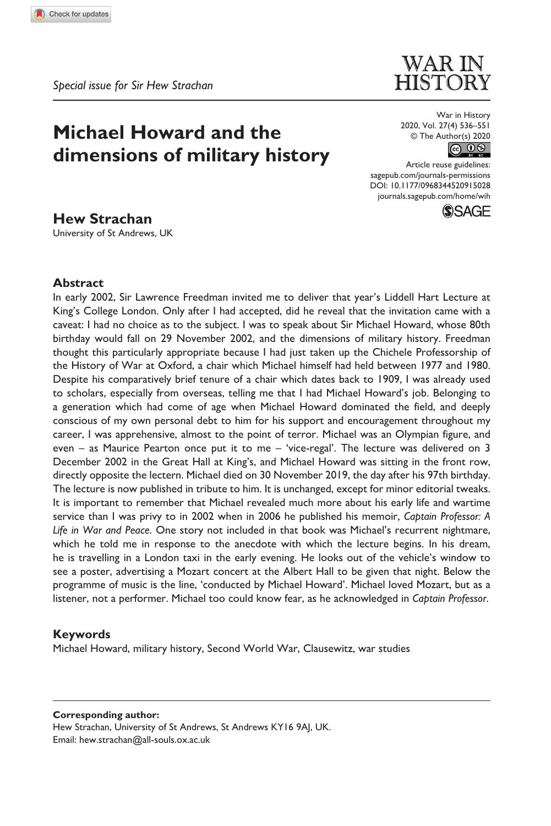**9150[28](http://crossmark.crossref.org/dialog/?doi=10.1177%2F0968344520915028&domain=pdf&date_stamp=2020-12-07)** WIH0010.1177/0968344520915028War in History**Strachan**

*Special issue for Sir Hew Strachan*

# **Michael Howard and the dimensions of military history**

War in History 2020, Vol. 27(4) 536–551  $\circledcirc$  The Author(s) 2020<br> $\circledcirc$ 

**WARIN HISTORY** 

Article reuse guidelines: [sagepub.com/journals-permissions](https://uk.sagepub.com/en-gb/journals-permissions) DOI: 10.1177/0968344520915028 [journals.sagepub.com/home/wih](https://journals.sagepub.com/home/wih)



# **Hew Strachan**

University of St Andrews, UK

## **Abstract**

In early 2002, Sir Lawrence Freedman invited me to deliver that year's Liddell Hart Lecture at King's College London. Only after I had accepted, did he reveal that the invitation came with a caveat: I had no choice as to the subject. I was to speak about Sir Michael Howard, whose 80th birthday would fall on 29 November 2002, and the dimensions of military history. Freedman thought this particularly appropriate because I had just taken up the Chichele Professorship of the History of War at Oxford, a chair which Michael himself had held between 1977 and 1980. Despite his comparatively brief tenure of a chair which dates back to 1909, I was already used to scholars, especially from overseas, telling me that I had Michael Howard's job. Belonging to a generation which had come of age when Michael Howard dominated the field, and deeply conscious of my own personal debt to him for his support and encouragement throughout my career, I was apprehensive, almost to the point of terror. Michael was an Olympian figure, and even – as Maurice Pearton once put it to me – 'vice-regal'. The lecture was delivered on 3 December 2002 in the Great Hall at King's, and Michael Howard was sitting in the front row, directly opposite the lectern. Michael died on 30 November 2019, the day after his 97th birthday. The lecture is now published in tribute to him. It is unchanged, except for minor editorial tweaks. It is important to remember that Michael revealed much more about his early life and wartime service than I was privy to in 2002 when in 2006 he published his memoir, *Captain Professor: A Life in War and Peace*. One story not included in that book was Michael's recurrent nightmare, which he told me in response to the anecdote with which the lecture begins. In his dream, he is travelling in a London taxi in the early evening. He looks out of the vehicle's window to see a poster, advertising a Mozart concert at the Albert Hall to be given that night. Below the programme of music is the line, 'conducted by Michael Howard'. Michael loved Mozart, but as a listener, not a performer. Michael too could know fear, as he acknowledged in *Captain Professor*.

# **Keywords**

Michael Howard, military history, Second World War, Clausewitz, war studies

#### **Corresponding author:**

Hew Strachan, University of St Andrews, St Andrews KY16 9AJ, UK. Email: [hew.strachan@all-souls.ox.ac.uk](mailto:hew.strachan@all-souls.ox.ac.uk)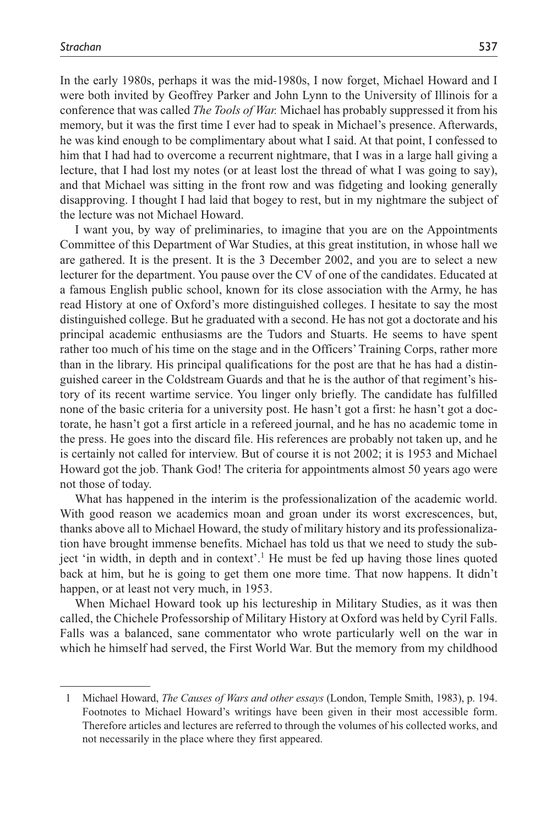In the early 1980s, perhaps it was the mid-1980s, I now forget, Michael Howard and I were both invited by Geoffrey Parker and John Lynn to the University of Illinois for a conference that was called *The Tools of War.* Michael has probably suppressed it from his memory, but it was the first time I ever had to speak in Michael's presence. Afterwards, he was kind enough to be complimentary about what I said. At that point, I confessed to him that I had had to overcome a recurrent nightmare, that I was in a large hall giving a lecture, that I had lost my notes (or at least lost the thread of what I was going to say), and that Michael was sitting in the front row and was fidgeting and looking generally disapproving. I thought I had laid that bogey to rest, but in my nightmare the subject of the lecture was not Michael Howard.

I want you, by way of preliminaries, to imagine that you are on the Appointments Committee of this Department of War Studies, at this great institution, in whose hall we are gathered. It is the present. It is the 3 December 2002, and you are to select a new lecturer for the department. You pause over the CV of one of the candidates. Educated at a famous English public school, known for its close association with the Army, he has read History at one of Oxford's more distinguished colleges. I hesitate to say the most distinguished college. But he graduated with a second. He has not got a doctorate and his principal academic enthusiasms are the Tudors and Stuarts. He seems to have spent rather too much of his time on the stage and in the Officers' Training Corps, rather more than in the library. His principal qualifications for the post are that he has had a distinguished career in the Coldstream Guards and that he is the author of that regiment's history of its recent wartime service. You linger only briefly. The candidate has fulfilled none of the basic criteria for a university post. He hasn't got a first: he hasn't got a doctorate, he hasn't got a first article in a refereed journal, and he has no academic tome in the press. He goes into the discard file. His references are probably not taken up, and he is certainly not called for interview. But of course it is not 2002; it is 1953 and Michael Howard got the job. Thank God! The criteria for appointments almost 50 years ago were not those of today.

What has happened in the interim is the professionalization of the academic world. With good reason we academics moan and groan under its worst excrescences, but, thanks above all to Michael Howard, the study of military history and its professionalization have brought immense benefits. Michael has told us that we need to study the subject 'in width, in depth and in context'.<sup>1</sup> He must be fed up having those lines quoted back at him, but he is going to get them one more time. That now happens. It didn't happen, or at least not very much, in 1953.

When Michael Howard took up his lectureship in Military Studies, as it was then called, the Chichele Professorship of Military History at Oxford was held by Cyril Falls. Falls was a balanced, sane commentator who wrote particularly well on the war in which he himself had served, the First World War. But the memory from my childhood

<sup>1</sup> Michael Howard, *The Causes of Wars and other essays* (London, Temple Smith, 1983), p. 194. Footnotes to Michael Howard's writings have been given in their most accessible form. Therefore articles and lectures are referred to through the volumes of his collected works, and not necessarily in the place where they first appeared.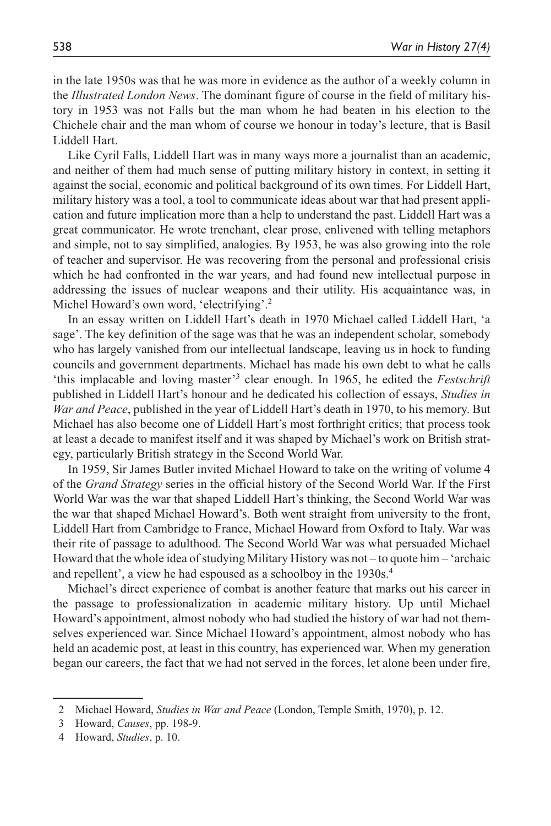in the late 1950s was that he was more in evidence as the author of a weekly column in the *Illustrated London News*. The dominant figure of course in the field of military history in 1953 was not Falls but the man whom he had beaten in his election to the Chichele chair and the man whom of course we honour in today's lecture, that is Basil Liddell Hart.

Like Cyril Falls, Liddell Hart was in many ways more a journalist than an academic, and neither of them had much sense of putting military history in context, in setting it against the social, economic and political background of its own times. For Liddell Hart, military history was a tool, a tool to communicate ideas about war that had present application and future implication more than a help to understand the past. Liddell Hart was a great communicator. He wrote trenchant, clear prose, enlivened with telling metaphors and simple, not to say simplified, analogies. By 1953, he was also growing into the role of teacher and supervisor. He was recovering from the personal and professional crisis which he had confronted in the war years, and had found new intellectual purpose in addressing the issues of nuclear weapons and their utility. His acquaintance was, in Michel Howard's own word, 'electrifying'.<sup>2</sup>

In an essay written on Liddell Hart's death in 1970 Michael called Liddell Hart, 'a sage'. The key definition of the sage was that he was an independent scholar, somebody who has largely vanished from our intellectual landscape, leaving us in hock to funding councils and government departments. Michael has made his own debt to what he calls 'this implacable and loving master'<sup>3</sup> clear enough. In 1965, he edited the *Festschrift* published in Liddell Hart's honour and he dedicated his collection of essays, *Studies in War and Peace*, published in the year of Liddell Hart's death in 1970, to his memory. But Michael has also become one of Liddell Hart's most forthright critics; that process took at least a decade to manifest itself and it was shaped by Michael's work on British strategy, particularly British strategy in the Second World War.

In 1959, Sir James Butler invited Michael Howard to take on the writing of volume 4 of the *Grand Strategy* series in the official history of the Second World War. If the First World War was the war that shaped Liddell Hart's thinking, the Second World War was the war that shaped Michael Howard's. Both went straight from university to the front, Liddell Hart from Cambridge to France, Michael Howard from Oxford to Italy. War was their rite of passage to adulthood. The Second World War was what persuaded Michael Howard that the whole idea of studying Military History was not – to quote him – 'archaic and repellent', a view he had espoused as a schoolboy in the 1930s.4

Michael's direct experience of combat is another feature that marks out his career in the passage to professionalization in academic military history. Up until Michael Howard's appointment, almost nobody who had studied the history of war had not themselves experienced war. Since Michael Howard's appointment, almost nobody who has held an academic post, at least in this country, has experienced war. When my generation began our careers, the fact that we had not served in the forces, let alone been under fire,

<sup>2</sup> Michael Howard, *Studies in War and Peace* (London, Temple Smith, 1970), p. 12.

<sup>3</sup> Howard, *Causes*, pp. 198-9.

<sup>4</sup> Howard, *Studies*, p. 10.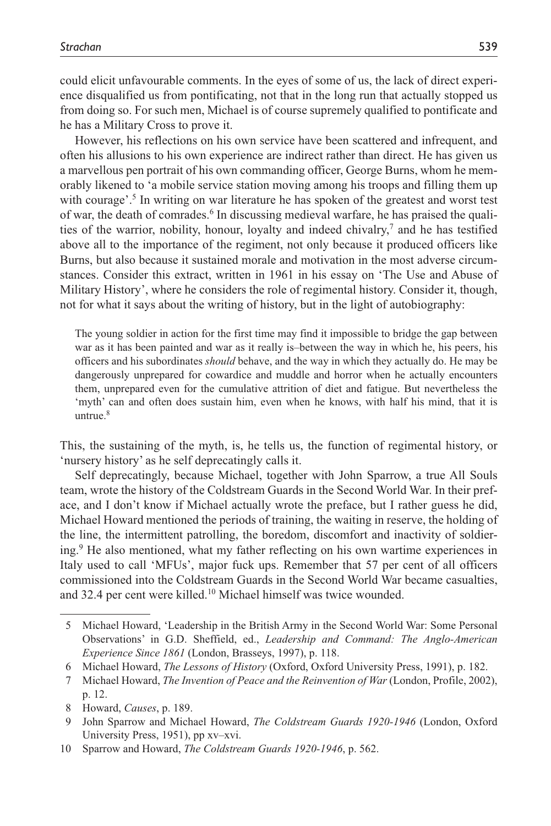could elicit unfavourable comments. In the eyes of some of us, the lack of direct experience disqualified us from pontificating, not that in the long run that actually stopped us from doing so. For such men, Michael is of course supremely qualified to pontificate and he has a Military Cross to prove it.

However, his reflections on his own service have been scattered and infrequent, and often his allusions to his own experience are indirect rather than direct. He has given us a marvellous pen portrait of his own commanding officer, George Burns, whom he memorably likened to 'a mobile service station moving among his troops and filling them up with courage'.<sup>5</sup> In writing on war literature he has spoken of the greatest and worst test of war, the death of comrades.<sup>6</sup> In discussing medieval warfare, he has praised the qualities of the warrior, nobility, honour, loyalty and indeed chivalry, $\frac{7}{1}$  and he has testified above all to the importance of the regiment, not only because it produced officers like Burns, but also because it sustained morale and motivation in the most adverse circumstances. Consider this extract, written in 1961 in his essay on 'The Use and Abuse of Military History', where he considers the role of regimental history. Consider it, though, not for what it says about the writing of history, but in the light of autobiography:

The young soldier in action for the first time may find it impossible to bridge the gap between war as it has been painted and war as it really is–between the way in which he, his peers, his officers and his subordinates *should* behave, and the way in which they actually do. He may be dangerously unprepared for cowardice and muddle and horror when he actually encounters them, unprepared even for the cumulative attrition of diet and fatigue. But nevertheless the 'myth' can and often does sustain him, even when he knows, with half his mind, that it is untrue. $8$ 

This, the sustaining of the myth, is, he tells us, the function of regimental history, or 'nursery history' as he self deprecatingly calls it.

Self deprecatingly, because Michael, together with John Sparrow, a true All Souls team, wrote the history of the Coldstream Guards in the Second World War. In their preface, and I don't know if Michael actually wrote the preface, but I rather guess he did, Michael Howard mentioned the periods of training, the waiting in reserve, the holding of the line, the intermittent patrolling, the boredom, discomfort and inactivity of soldiering.9 He also mentioned, what my father reflecting on his own wartime experiences in Italy used to call 'MFUs', major fuck ups. Remember that 57 per cent of all officers commissioned into the Coldstream Guards in the Second World War became casualties, and 32.4 per cent were killed.<sup>10</sup> Michael himself was twice wounded.

<sup>5</sup> Michael Howard, 'Leadership in the British Army in the Second World War: Some Personal Observations' in G.D. Sheffield, ed., *Leadership and Command: The Anglo-American Experience Since 1861* (London, Brasseys, 1997), p. 118.

<sup>6</sup> Michael Howard, *The Lessons of History* (Oxford, Oxford University Press, 1991), p. 182.

<sup>7</sup> Michael Howard, *The Invention of Peace and the Reinvention of War* (London, Profile, 2002), p. 12.

<sup>8</sup> Howard, *Causes*, p. 189.

<sup>9</sup> John Sparrow and Michael Howard, *The Coldstream Guards 1920-1946* (London, Oxford University Press, 1951), pp xv–xvi.

<sup>10</sup> Sparrow and Howard, *The Coldstream Guards 1920-1946*, p. 562.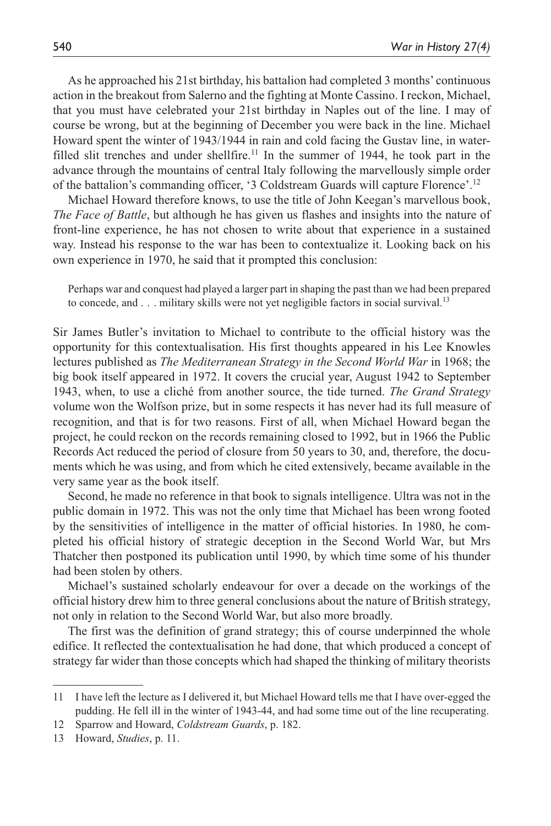As he approached his 21st birthday, his battalion had completed 3 months' continuous action in the breakout from Salerno and the fighting at Monte Cassino. I reckon, Michael, that you must have celebrated your 21st birthday in Naples out of the line. I may of course be wrong, but at the beginning of December you were back in the line. Michael Howard spent the winter of 1943/1944 in rain and cold facing the Gustav line, in waterfilled slit trenches and under shellfire.<sup>11</sup> In the summer of 1944, he took part in the advance through the mountains of central Italy following the marvellously simple order of the battalion's commanding officer, '3 Coldstream Guards will capture Florence'.12

Michael Howard therefore knows, to use the title of John Keegan's marvellous book, *The Face of Battle*, but although he has given us flashes and insights into the nature of front-line experience, he has not chosen to write about that experience in a sustained way. Instead his response to the war has been to contextualize it. Looking back on his own experience in 1970, he said that it prompted this conclusion:

Perhaps war and conquest had played a larger part in shaping the past than we had been prepared to concede, and . . . military skills were not yet negligible factors in social survival.<sup>13</sup>

Sir James Butler's invitation to Michael to contribute to the official history was the opportunity for this contextualisation. His first thoughts appeared in his Lee Knowles lectures published as *The Mediterranean Strategy in the Second World War* in 1968; the big book itself appeared in 1972. It covers the crucial year, August 1942 to September 1943, when, to use a cliché from another source, the tide turned. *The Grand Strategy* volume won the Wolfson prize, but in some respects it has never had its full measure of recognition, and that is for two reasons. First of all, when Michael Howard began the project, he could reckon on the records remaining closed to 1992, but in 1966 the Public Records Act reduced the period of closure from 50 years to 30, and, therefore, the documents which he was using, and from which he cited extensively, became available in the very same year as the book itself.

Second, he made no reference in that book to signals intelligence. Ultra was not in the public domain in 1972. This was not the only time that Michael has been wrong footed by the sensitivities of intelligence in the matter of official histories. In 1980, he completed his official history of strategic deception in the Second World War, but Mrs Thatcher then postponed its publication until 1990, by which time some of his thunder had been stolen by others.

Michael's sustained scholarly endeavour for over a decade on the workings of the official history drew him to three general conclusions about the nature of British strategy, not only in relation to the Second World War, but also more broadly.

The first was the definition of grand strategy; this of course underpinned the whole edifice. It reflected the contextualisation he had done, that which produced a concept of strategy far wider than those concepts which had shaped the thinking of military theorists

<sup>11</sup> I have left the lecture as I delivered it, but Michael Howard tells me that I have over-egged the pudding. He fell ill in the winter of 1943-44, and had some time out of the line recuperating.

<sup>12</sup> Sparrow and Howard, *Coldstream Guards*, p. 182.

<sup>13</sup> Howard, *Studies*, p. 11.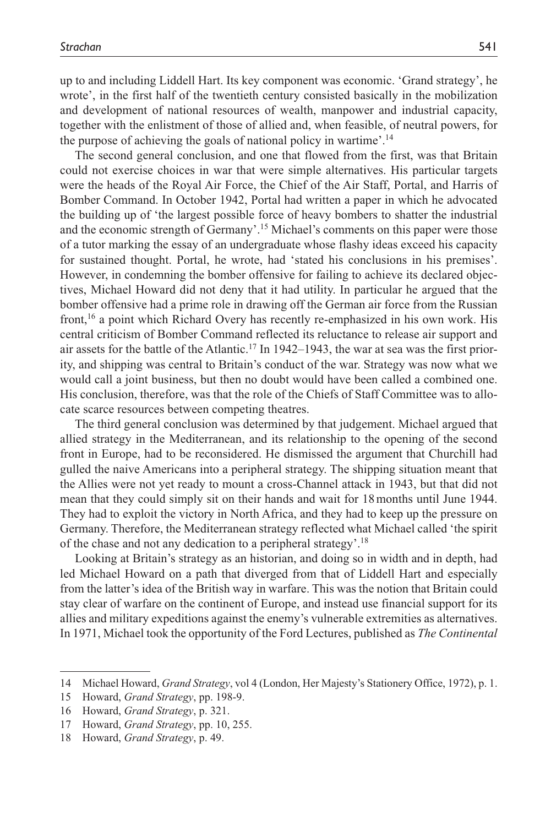up to and including Liddell Hart. Its key component was economic. 'Grand strategy', he wrote', in the first half of the twentieth century consisted basically in the mobilization and development of national resources of wealth, manpower and industrial capacity, together with the enlistment of those of allied and, when feasible, of neutral powers, for the purpose of achieving the goals of national policy in wartime'.14

The second general conclusion, and one that flowed from the first, was that Britain could not exercise choices in war that were simple alternatives. His particular targets were the heads of the Royal Air Force, the Chief of the Air Staff, Portal, and Harris of Bomber Command. In October 1942, Portal had written a paper in which he advocated the building up of 'the largest possible force of heavy bombers to shatter the industrial and the economic strength of Germany'.15 Michael's comments on this paper were those of a tutor marking the essay of an undergraduate whose flashy ideas exceed his capacity for sustained thought. Portal, he wrote, had 'stated his conclusions in his premises'. However, in condemning the bomber offensive for failing to achieve its declared objectives, Michael Howard did not deny that it had utility. In particular he argued that the bomber offensive had a prime role in drawing off the German air force from the Russian front,16 a point which Richard Overy has recently re-emphasized in his own work. His central criticism of Bomber Command reflected its reluctance to release air support and air assets for the battle of the Atlantic.17 In 1942–1943, the war at sea was the first priority, and shipping was central to Britain's conduct of the war. Strategy was now what we would call a joint business, but then no doubt would have been called a combined one. His conclusion, therefore, was that the role of the Chiefs of Staff Committee was to allocate scarce resources between competing theatres.

The third general conclusion was determined by that judgement. Michael argued that allied strategy in the Mediterranean, and its relationship to the opening of the second front in Europe, had to be reconsidered. He dismissed the argument that Churchill had gulled the naive Americans into a peripheral strategy. The shipping situation meant that the Allies were not yet ready to mount a cross-Channel attack in 1943, but that did not mean that they could simply sit on their hands and wait for 18months until June 1944. They had to exploit the victory in North Africa, and they had to keep up the pressure on Germany. Therefore, the Mediterranean strategy reflected what Michael called 'the spirit of the chase and not any dedication to a peripheral strategy'.18

Looking at Britain's strategy as an historian, and doing so in width and in depth, had led Michael Howard on a path that diverged from that of Liddell Hart and especially from the latter's idea of the British way in warfare. This was the notion that Britain could stay clear of warfare on the continent of Europe, and instead use financial support for its allies and military expeditions against the enemy's vulnerable extremities as alternatives. In 1971, Michael took the opportunity of the Ford Lectures, published as *The Continental* 

<sup>14</sup> Michael Howard, *Grand Strategy*, vol 4 (London, Her Majesty's Stationery Office, 1972), p. 1.

<sup>15</sup> Howard, *Grand Strategy*, pp. 198-9.

<sup>16</sup> Howard, *Grand Strategy*, p. 321.

<sup>17</sup> Howard, *Grand Strategy*, pp. 10, 255.

<sup>18</sup> Howard, *Grand Strategy*, p. 49.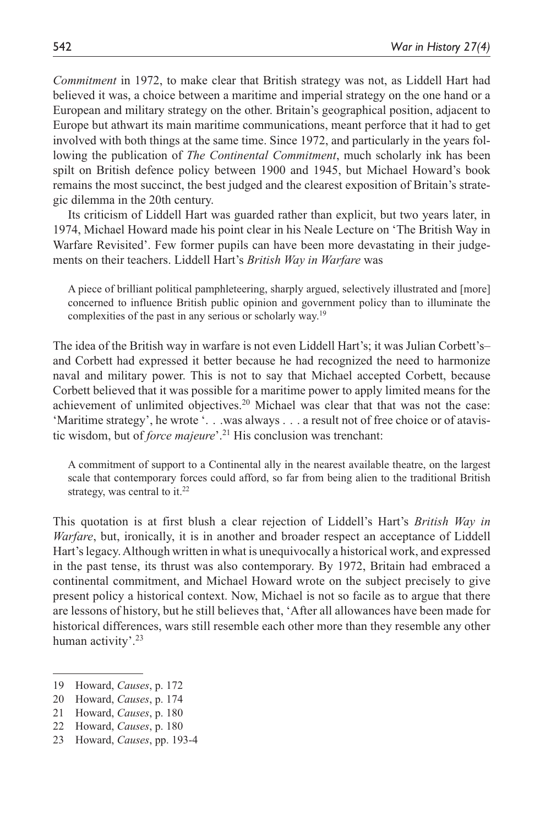*Commitment* in 1972, to make clear that British strategy was not, as Liddell Hart had believed it was, a choice between a maritime and imperial strategy on the one hand or a European and military strategy on the other. Britain's geographical position, adjacent to Europe but athwart its main maritime communications, meant perforce that it had to get involved with both things at the same time. Since 1972, and particularly in the years following the publication of *The Continental Commitment*, much scholarly ink has been spilt on British defence policy between 1900 and 1945, but Michael Howard's book remains the most succinct, the best judged and the clearest exposition of Britain's strategic dilemma in the 20th century.

Its criticism of Liddell Hart was guarded rather than explicit, but two years later, in 1974, Michael Howard made his point clear in his Neale Lecture on 'The British Way in Warfare Revisited'. Few former pupils can have been more devastating in their judgements on their teachers. Liddell Hart's *British Way in Warfare* was

A piece of brilliant political pamphleteering, sharply argued, selectively illustrated and [more] concerned to influence British public opinion and government policy than to illuminate the complexities of the past in any serious or scholarly way.19

The idea of the British way in warfare is not even Liddell Hart's; it was Julian Corbett's– and Corbett had expressed it better because he had recognized the need to harmonize naval and military power. This is not to say that Michael accepted Corbett, because Corbett believed that it was possible for a maritime power to apply limited means for the achievement of unlimited objectives.<sup>20</sup> Michael was clear that that was not the case: 'Maritime strategy', he wrote '. . .was always . . . a result not of free choice or of atavistic wisdom, but of *force majeure*'.21 His conclusion was trenchant:

A commitment of support to a Continental ally in the nearest available theatre, on the largest scale that contemporary forces could afford, so far from being alien to the traditional British strategy, was central to it. $22$ 

This quotation is at first blush a clear rejection of Liddell's Hart's *British Way in Warfare*, but, ironically, it is in another and broader respect an acceptance of Liddell Hart's legacy. Although written in what is unequivocally a historical work, and expressed in the past tense, its thrust was also contemporary. By 1972, Britain had embraced a continental commitment, and Michael Howard wrote on the subject precisely to give present policy a historical context. Now, Michael is not so facile as to argue that there are lessons of history, but he still believes that, 'After all allowances have been made for historical differences, wars still resemble each other more than they resemble any other human activity'.<sup>23</sup>

<sup>19</sup> Howard, *Causes*, p. 172

<sup>20</sup> Howard, *Causes*, p. 174

<sup>21</sup> Howard, *Causes*, p. 180

<sup>22</sup> Howard, *Causes*, p. 180

<sup>23</sup> Howard, *Causes*, pp. 193-4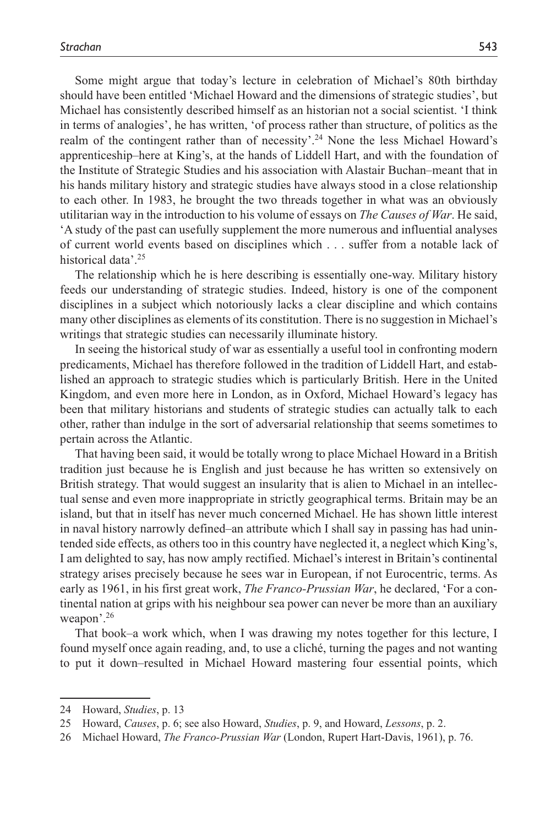Some might argue that today's lecture in celebration of Michael's 80th birthday should have been entitled 'Michael Howard and the dimensions of strategic studies', but Michael has consistently described himself as an historian not a social scientist. 'I think in terms of analogies', he has written, 'of process rather than structure, of politics as the realm of the contingent rather than of necessity'.24 None the less Michael Howard's apprenticeship–here at King's, at the hands of Liddell Hart, and with the foundation of the Institute of Strategic Studies and his association with Alastair Buchan–meant that in his hands military history and strategic studies have always stood in a close relationship to each other. In 1983, he brought the two threads together in what was an obviously utilitarian way in the introduction to his volume of essays on *The Causes of War*. He said, 'A study of the past can usefully supplement the more numerous and influential analyses of current world events based on disciplines which . . . suffer from a notable lack of historical data'.<sup>25</sup>

The relationship which he is here describing is essentially one-way. Military history feeds our understanding of strategic studies. Indeed, history is one of the component disciplines in a subject which notoriously lacks a clear discipline and which contains many other disciplines as elements of its constitution. There is no suggestion in Michael's writings that strategic studies can necessarily illuminate history.

In seeing the historical study of war as essentially a useful tool in confronting modern predicaments, Michael has therefore followed in the tradition of Liddell Hart, and established an approach to strategic studies which is particularly British. Here in the United Kingdom, and even more here in London, as in Oxford, Michael Howard's legacy has been that military historians and students of strategic studies can actually talk to each other, rather than indulge in the sort of adversarial relationship that seems sometimes to pertain across the Atlantic.

That having been said, it would be totally wrong to place Michael Howard in a British tradition just because he is English and just because he has written so extensively on British strategy. That would suggest an insularity that is alien to Michael in an intellectual sense and even more inappropriate in strictly geographical terms. Britain may be an island, but that in itself has never much concerned Michael. He has shown little interest in naval history narrowly defined–an attribute which I shall say in passing has had unintended side effects, as others too in this country have neglected it, a neglect which King's, I am delighted to say, has now amply rectified. Michael's interest in Britain's continental strategy arises precisely because he sees war in European, if not Eurocentric, terms. As early as 1961, in his first great work, *The Franco-Prussian War*, he declared, 'For a continental nation at grips with his neighbour sea power can never be more than an auxiliary weapon'.26

That book–a work which, when I was drawing my notes together for this lecture, I found myself once again reading, and, to use a cliché, turning the pages and not wanting to put it down–resulted in Michael Howard mastering four essential points, which

<sup>24</sup> Howard, *Studies*, p. 13

<sup>25</sup> Howard, *Causes*, p. 6; see also Howard, *Studies*, p. 9, and Howard, *Lessons*, p. 2.

<sup>26</sup> Michael Howard, *The Franco-Prussian War* (London, Rupert Hart-Davis, 1961), p. 76.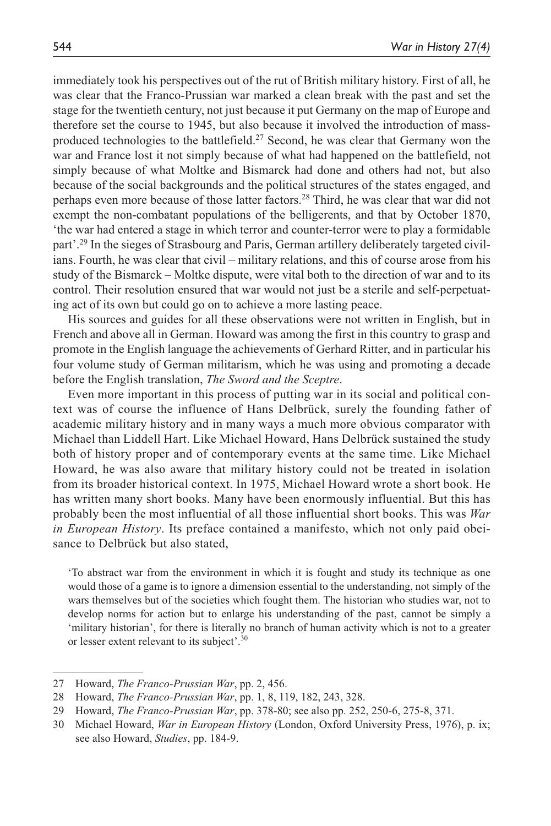immediately took his perspectives out of the rut of British military history. First of all, he was clear that the Franco-Prussian war marked a clean break with the past and set the stage for the twentieth century, not just because it put Germany on the map of Europe and therefore set the course to 1945, but also because it involved the introduction of massproduced technologies to the battlefield.<sup>27</sup> Second, he was clear that Germany won the war and France lost it not simply because of what had happened on the battlefield, not simply because of what Moltke and Bismarck had done and others had not, but also because of the social backgrounds and the political structures of the states engaged, and perhaps even more because of those latter factors.<sup>28</sup> Third, he was clear that war did not exempt the non-combatant populations of the belligerents, and that by October 1870, 'the war had entered a stage in which terror and counter-terror were to play a formidable part'.29 In the sieges of Strasbourg and Paris, German artillery deliberately targeted civilians. Fourth, he was clear that civil – military relations, and this of course arose from his study of the Bismarck – Moltke dispute, were vital both to the direction of war and to its control. Their resolution ensured that war would not just be a sterile and self-perpetuating act of its own but could go on to achieve a more lasting peace.

His sources and guides for all these observations were not written in English, but in French and above all in German. Howard was among the first in this country to grasp and promote in the English language the achievements of Gerhard Ritter, and in particular his four volume study of German militarism, which he was using and promoting a decade before the English translation, *The Sword and the Sceptre*.

Even more important in this process of putting war in its social and political context was of course the influence of Hans Delbrück, surely the founding father of academic military history and in many ways a much more obvious comparator with Michael than Liddell Hart. Like Michael Howard, Hans Delbrück sustained the study both of history proper and of contemporary events at the same time. Like Michael Howard, he was also aware that military history could not be treated in isolation from its broader historical context. In 1975, Michael Howard wrote a short book. He has written many short books. Many have been enormously influential. But this has probably been the most influential of all those influential short books. This was *War in European History*. Its preface contained a manifesto, which not only paid obeisance to Delbrück but also stated,

'To abstract war from the environment in which it is fought and study its technique as one would those of a game is to ignore a dimension essential to the understanding, not simply of the wars themselves but of the societies which fought them. The historian who studies war, not to develop norms for action but to enlarge his understanding of the past, cannot be simply a 'military historian', for there is literally no branch of human activity which is not to a greater or lesser extent relevant to its subject'.30

<sup>27</sup> Howard, *The Franco-Prussian War*, pp. 2, 456.

<sup>28</sup> Howard, *The Franco-Prussian War*, pp. 1, 8, 119, 182, 243, 328.

<sup>29</sup> Howard, *The Franco-Prussian War*, pp. 378-80; see also pp. 252, 250-6, 275-8, 371.

<sup>30</sup> Michael Howard, *War in European History* (London, Oxford University Press, 1976), p. ix; see also Howard, *Studies*, pp. 184-9.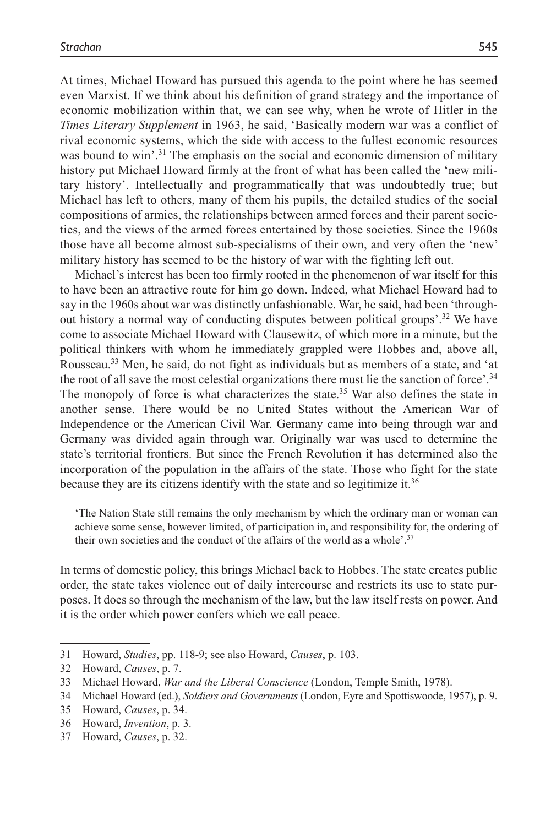At times, Michael Howard has pursued this agenda to the point where he has seemed even Marxist. If we think about his definition of grand strategy and the importance of economic mobilization within that, we can see why, when he wrote of Hitler in the *Times Literary Supplement* in 1963, he said, 'Basically modern war was a conflict of rival economic systems, which the side with access to the fullest economic resources was bound to win'.<sup>31</sup> The emphasis on the social and economic dimension of military history put Michael Howard firmly at the front of what has been called the 'new military history'. Intellectually and programmatically that was undoubtedly true; but Michael has left to others, many of them his pupils, the detailed studies of the social compositions of armies, the relationships between armed forces and their parent societies, and the views of the armed forces entertained by those societies. Since the 1960s those have all become almost sub-specialisms of their own, and very often the 'new' military history has seemed to be the history of war with the fighting left out.

Michael's interest has been too firmly rooted in the phenomenon of war itself for this to have been an attractive route for him go down. Indeed, what Michael Howard had to say in the 1960s about war was distinctly unfashionable. War, he said, had been 'throughout history a normal way of conducting disputes between political groups'.32 We have come to associate Michael Howard with Clausewitz, of which more in a minute, but the political thinkers with whom he immediately grappled were Hobbes and, above all, Rousseau.33 Men, he said, do not fight as individuals but as members of a state, and 'at the root of all save the most celestial organizations there must lie the sanction of force'.34 The monopoly of force is what characterizes the state.<sup>35</sup> War also defines the state in another sense. There would be no United States without the American War of Independence or the American Civil War. Germany came into being through war and Germany was divided again through war. Originally war was used to determine the state's territorial frontiers. But since the French Revolution it has determined also the incorporation of the population in the affairs of the state. Those who fight for the state because they are its citizens identify with the state and so legitimize it.<sup>36</sup>

'The Nation State still remains the only mechanism by which the ordinary man or woman can achieve some sense, however limited, of participation in, and responsibility for, the ordering of their own societies and the conduct of the affairs of the world as a whole'. $37$ 

In terms of domestic policy, this brings Michael back to Hobbes. The state creates public order, the state takes violence out of daily intercourse and restricts its use to state purposes. It does so through the mechanism of the law, but the law itself rests on power. And it is the order which power confers which we call peace.

<sup>31</sup> Howard, *Studies*, pp. 118-9; see also Howard, *Causes*, p. 103.

<sup>32</sup> Howard, *Causes*, p. 7.

<sup>33</sup> Michael Howard, *War and the Liberal Conscience* (London, Temple Smith, 1978).

<sup>34</sup> Michael Howard (ed.), *Soldiers and Governments* (London, Eyre and Spottiswoode, 1957), p. 9.

<sup>35</sup> Howard, *Causes*, p. 34.

<sup>36</sup> Howard, *Invention*, p. 3.

<sup>37</sup> Howard, *Causes*, p. 32.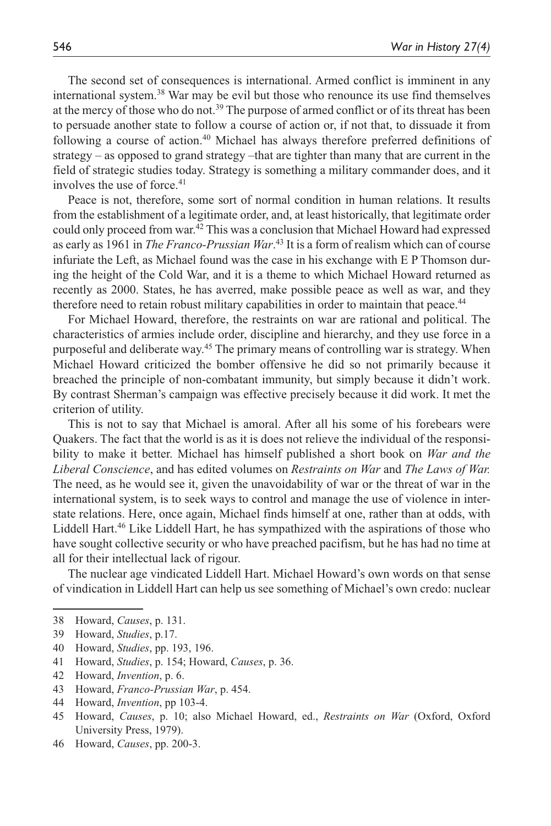The second set of consequences is international. Armed conflict is imminent in any international system.38 War may be evil but those who renounce its use find themselves at the mercy of those who do not.<sup>39</sup> The purpose of armed conflict or of its threat has been to persuade another state to follow a course of action or, if not that, to dissuade it from following a course of action.<sup>40</sup> Michael has always therefore preferred definitions of strategy – as opposed to grand strategy –that are tighter than many that are current in the field of strategic studies today. Strategy is something a military commander does, and it involves the use of force.<sup>41</sup>

Peace is not, therefore, some sort of normal condition in human relations. It results from the establishment of a legitimate order, and, at least historically, that legitimate order could only proceed from war.<sup>42</sup> This was a conclusion that Michael Howard had expressed as early as 1961 in *The Franco-Prussian War*. 43 It is a form of realism which can of course infuriate the Left, as Michael found was the case in his exchange with E P Thomson during the height of the Cold War, and it is a theme to which Michael Howard returned as recently as 2000. States, he has averred, make possible peace as well as war, and they therefore need to retain robust military capabilities in order to maintain that peace.<sup>44</sup>

For Michael Howard, therefore, the restraints on war are rational and political. The characteristics of armies include order, discipline and hierarchy, and they use force in a purposeful and deliberate way.<sup>45</sup> The primary means of controlling war is strategy. When Michael Howard criticized the bomber offensive he did so not primarily because it breached the principle of non-combatant immunity, but simply because it didn't work. By contrast Sherman's campaign was effective precisely because it did work. It met the criterion of utility.

This is not to say that Michael is amoral. After all his some of his forebears were Quakers. The fact that the world is as it is does not relieve the individual of the responsibility to make it better. Michael has himself published a short book on *War and the Liberal Conscience*, and has edited volumes on *Restraints on War* and *The Laws of War.* The need, as he would see it, given the unavoidability of war or the threat of war in the international system, is to seek ways to control and manage the use of violence in interstate relations. Here, once again, Michael finds himself at one, rather than at odds, with Liddell Hart.<sup>46</sup> Like Liddell Hart, he has sympathized with the aspirations of those who have sought collective security or who have preached pacifism, but he has had no time at all for their intellectual lack of rigour.

The nuclear age vindicated Liddell Hart. Michael Howard's own words on that sense of vindication in Liddell Hart can help us see something of Michael's own credo: nuclear

43 Howard, *Franco-Prussian War*, p. 454.

46 Howard, *Causes*, pp. 200-3.

<sup>38</sup> Howard, *Causes*, p. 131.

<sup>39</sup> Howard, *Studies*, p.17.

<sup>40</sup> Howard, *Studies*, pp. 193, 196.

<sup>41</sup> Howard, *Studies*, p. 154; Howard, *Causes*, p. 36.

<sup>42</sup> Howard, *Invention*, p. 6.

<sup>44</sup> Howard, *Invention*, pp 103-4.

<sup>45</sup> Howard, *Causes*, p. 10; also Michael Howard, ed., *Restraints on War* (Oxford, Oxford University Press, 1979).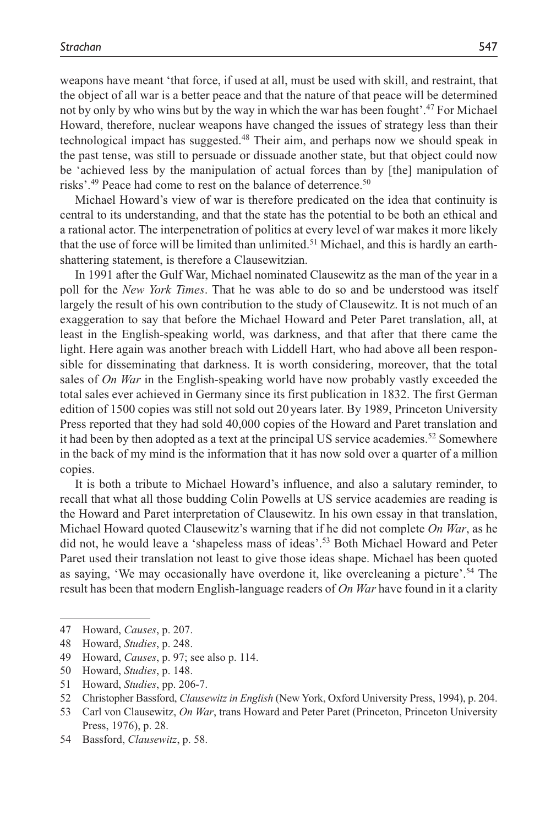weapons have meant 'that force, if used at all, must be used with skill, and restraint, that the object of all war is a better peace and that the nature of that peace will be determined not by only by who wins but by the way in which the war has been fought'.47 For Michael Howard, therefore, nuclear weapons have changed the issues of strategy less than their technological impact has suggested.48 Their aim, and perhaps now we should speak in the past tense, was still to persuade or dissuade another state, but that object could now be 'achieved less by the manipulation of actual forces than by [the] manipulation of risks'.<sup>49</sup> Peace had come to rest on the balance of deterrence.<sup>50</sup>

Michael Howard's view of war is therefore predicated on the idea that continuity is central to its understanding, and that the state has the potential to be both an ethical and a rational actor. The interpenetration of politics at every level of war makes it more likely that the use of force will be limited than unlimited.<sup>51</sup> Michael, and this is hardly an earthshattering statement, is therefore a Clausewitzian.

In 1991 after the Gulf War, Michael nominated Clausewitz as the man of the year in a poll for the *New York Times*. That he was able to do so and be understood was itself largely the result of his own contribution to the study of Clausewitz. It is not much of an exaggeration to say that before the Michael Howard and Peter Paret translation, all, at least in the English-speaking world, was darkness, and that after that there came the light. Here again was another breach with Liddell Hart, who had above all been responsible for disseminating that darkness. It is worth considering, moreover, that the total sales of *On War* in the English-speaking world have now probably vastly exceeded the total sales ever achieved in Germany since its first publication in 1832. The first German edition of 1500 copies was still not sold out 20 years later. By 1989, Princeton University Press reported that they had sold 40,000 copies of the Howard and Paret translation and it had been by then adopted as a text at the principal US service academies.<sup>52</sup> Somewhere in the back of my mind is the information that it has now sold over a quarter of a million copies.

It is both a tribute to Michael Howard's influence, and also a salutary reminder, to recall that what all those budding Colin Powells at US service academies are reading is the Howard and Paret interpretation of Clausewitz. In his own essay in that translation, Michael Howard quoted Clausewitz's warning that if he did not complete *On War*, as he did not, he would leave a 'shapeless mass of ideas'.53 Both Michael Howard and Peter Paret used their translation not least to give those ideas shape. Michael has been quoted as saying, 'We may occasionally have overdone it, like overcleaning a picture'.54 The result has been that modern English-language readers of *On War* have found in it a clarity

<sup>47</sup> Howard, *Causes*, p. 207.

<sup>48</sup> Howard, *Studies*, p. 248.

<sup>49</sup> Howard, *Causes*, p. 97; see also p. 114.

<sup>50</sup> Howard, *Studies*, p. 148.

<sup>51</sup> Howard, *Studies*, pp. 206-7.

<sup>52</sup> Christopher Bassford, *Clausewitz in English* (New York, Oxford University Press, 1994), p. 204.

<sup>53</sup> Carl von Clausewitz, *On War*, trans Howard and Peter Paret (Princeton, Princeton University Press, 1976), p. 28.

<sup>54</sup> Bassford, *Clausewitz*, p. 58.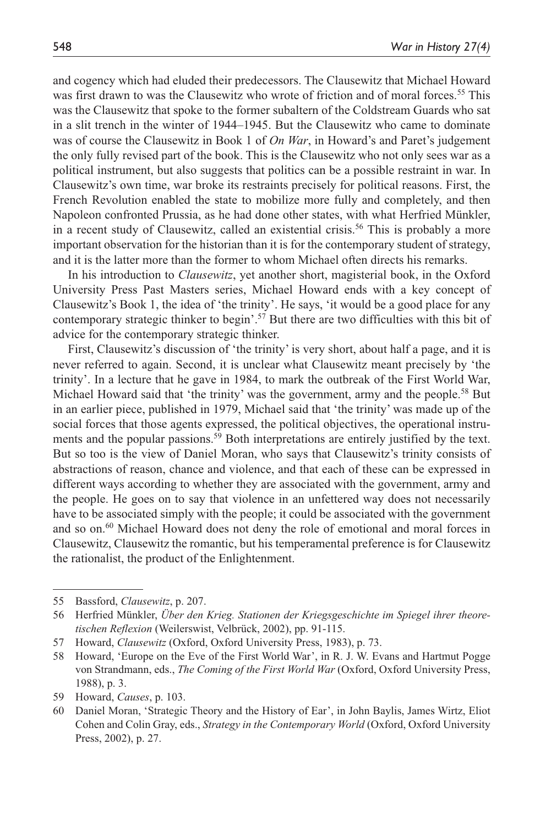and cogency which had eluded their predecessors. The Clausewitz that Michael Howard was first drawn to was the Clausewitz who wrote of friction and of moral forces.<sup>55</sup> This was the Clausewitz that spoke to the former subaltern of the Coldstream Guards who sat in a slit trench in the winter of 1944–1945. But the Clausewitz who came to dominate was of course the Clausewitz in Book 1 of *On War*, in Howard's and Paret's judgement the only fully revised part of the book. This is the Clausewitz who not only sees war as a political instrument, but also suggests that politics can be a possible restraint in war. In Clausewitz's own time, war broke its restraints precisely for political reasons. First, the French Revolution enabled the state to mobilize more fully and completely, and then Napoleon confronted Prussia, as he had done other states, with what Herfried Münkler, in a recent study of Clausewitz, called an existential crisis.<sup>56</sup> This is probably a more important observation for the historian than it is for the contemporary student of strategy, and it is the latter more than the former to whom Michael often directs his remarks.

In his introduction to *Clausewitz*, yet another short, magisterial book, in the Oxford University Press Past Masters series, Michael Howard ends with a key concept of Clausewitz's Book 1, the idea of 'the trinity'. He says, 'it would be a good place for any contemporary strategic thinker to begin'.57 But there are two difficulties with this bit of advice for the contemporary strategic thinker.

First, Clausewitz's discussion of 'the trinity' is very short, about half a page, and it is never referred to again. Second, it is unclear what Clausewitz meant precisely by 'the trinity'. In a lecture that he gave in 1984, to mark the outbreak of the First World War, Michael Howard said that 'the trinity' was the government, army and the people.<sup>58</sup> But in an earlier piece, published in 1979, Michael said that 'the trinity' was made up of the social forces that those agents expressed, the political objectives, the operational instruments and the popular passions.<sup>59</sup> Both interpretations are entirely justified by the text. But so too is the view of Daniel Moran, who says that Clausewitz's trinity consists of abstractions of reason, chance and violence, and that each of these can be expressed in different ways according to whether they are associated with the government, army and the people. He goes on to say that violence in an unfettered way does not necessarily have to be associated simply with the people; it could be associated with the government and so on.<sup>60</sup> Michael Howard does not deny the role of emotional and moral forces in Clausewitz, Clausewitz the romantic, but his temperamental preference is for Clausewitz the rationalist, the product of the Enlightenment.

57 Howard, *Clausewitz* (Oxford, Oxford University Press, 1983), p. 73.

59 Howard, *Causes*, p. 103.

<sup>55</sup> Bassford, *Clausewitz*, p. 207.

<sup>56</sup> Herfried Münkler, *Über den Krieg. Stationen der Kriegsgeschichte im Spiegel ihrer theoretischen Reflexion* (Weilerswist, Velbrück, 2002), pp. 91-115.

<sup>58</sup> Howard, 'Europe on the Eve of the First World War', in R. J. W. Evans and Hartmut Pogge von Strandmann, eds., *The Coming of the First World War* (Oxford, Oxford University Press, 1988), p. 3.

<sup>60</sup> Daniel Moran, 'Strategic Theory and the History of Ear', in John Baylis, James Wirtz, Eliot Cohen and Colin Gray, eds., *Strategy in the Contemporary World* (Oxford, Oxford University Press, 2002), p. 27.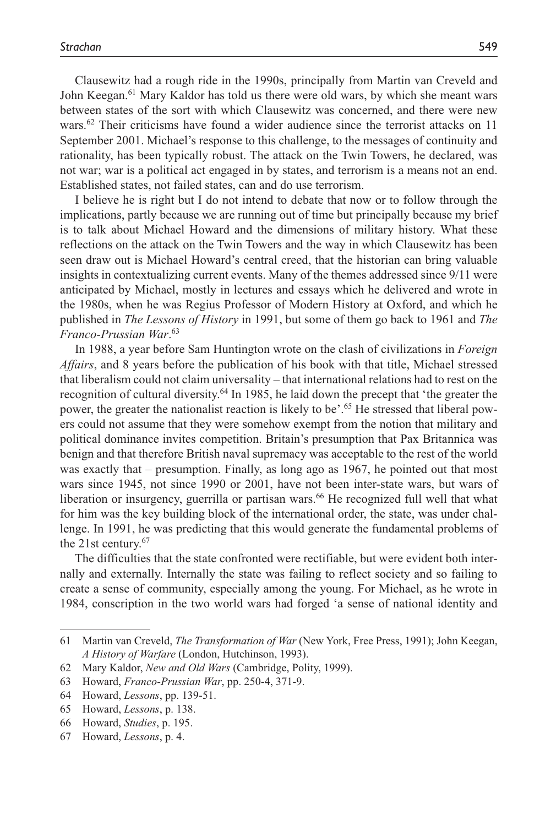Clausewitz had a rough ride in the 1990s, principally from Martin van Creveld and John Keegan.61 Mary Kaldor has told us there were old wars, by which she meant wars between states of the sort with which Clausewitz was concerned, and there were new wars.<sup>62</sup> Their criticisms have found a wider audience since the terrorist attacks on 11 September 2001. Michael's response to this challenge, to the messages of continuity and rationality, has been typically robust. The attack on the Twin Towers, he declared, was not war; war is a political act engaged in by states, and terrorism is a means not an end. Established states, not failed states, can and do use terrorism.

I believe he is right but I do not intend to debate that now or to follow through the implications, partly because we are running out of time but principally because my brief is to talk about Michael Howard and the dimensions of military history. What these reflections on the attack on the Twin Towers and the way in which Clausewitz has been seen draw out is Michael Howard's central creed, that the historian can bring valuable insights in contextualizing current events. Many of the themes addressed since 9/11 were anticipated by Michael, mostly in lectures and essays which he delivered and wrote in the 1980s, when he was Regius Professor of Modern History at Oxford, and which he published in *The Lessons of History* in 1991, but some of them go back to 1961 and *The Franco-Prussian War*. 63

In 1988, a year before Sam Huntington wrote on the clash of civilizations in *Foreign Affairs*, and 8 years before the publication of his book with that title, Michael stressed that liberalism could not claim universality – that international relations had to rest on the recognition of cultural diversity.64 In 1985, he laid down the precept that 'the greater the power, the greater the nationalist reaction is likely to be'.<sup>65</sup> He stressed that liberal powers could not assume that they were somehow exempt from the notion that military and political dominance invites competition. Britain's presumption that Pax Britannica was benign and that therefore British naval supremacy was acceptable to the rest of the world was exactly that – presumption. Finally, as long ago as 1967, he pointed out that most wars since 1945, not since 1990 or 2001, have not been inter-state wars, but wars of liberation or insurgency, guerrilla or partisan wars.<sup>66</sup> He recognized full well that what for him was the key building block of the international order, the state, was under challenge. In 1991, he was predicting that this would generate the fundamental problems of the 21st century.67

The difficulties that the state confronted were rectifiable, but were evident both internally and externally. Internally the state was failing to reflect society and so failing to create a sense of community, especially among the young. For Michael, as he wrote in 1984, conscription in the two world wars had forged 'a sense of national identity and

<sup>61</sup> Martin van Creveld, *The Transformation of War* (New York, Free Press, 1991); John Keegan, *A History of Warfare* (London, Hutchinson, 1993).

<sup>62</sup> Mary Kaldor, *New and Old Wars* (Cambridge, Polity, 1999).

<sup>63</sup> Howard, *Franco-Prussian War*, pp. 250-4, 371-9.

<sup>64</sup> Howard, *Lessons*, pp. 139-51.

<sup>65</sup> Howard, *Lessons*, p. 138.

<sup>66</sup> Howard, *Studies*, p. 195.

<sup>67</sup> Howard, *Lessons*, p. 4.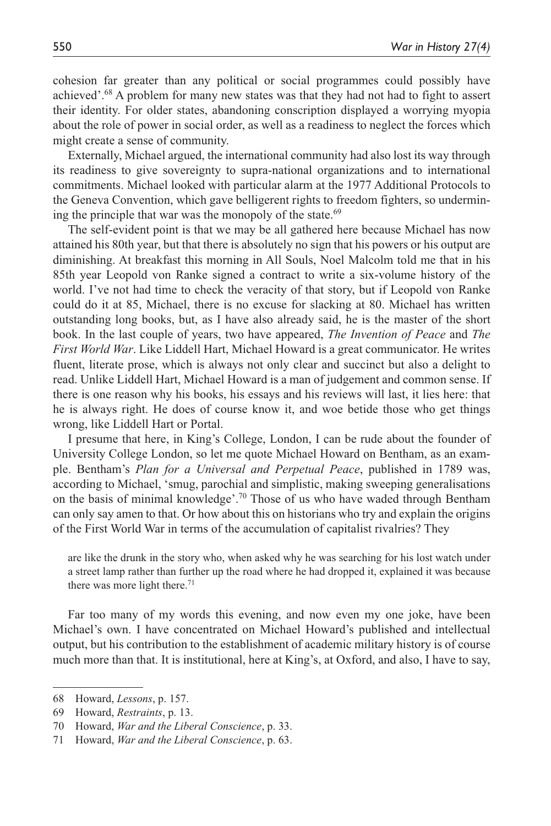cohesion far greater than any political or social programmes could possibly have achieved'.68 A problem for many new states was that they had not had to fight to assert their identity. For older states, abandoning conscription displayed a worrying myopia about the role of power in social order, as well as a readiness to neglect the forces which might create a sense of community.

Externally, Michael argued, the international community had also lost its way through its readiness to give sovereignty to supra-national organizations and to international commitments. Michael looked with particular alarm at the 1977 Additional Protocols to the Geneva Convention, which gave belligerent rights to freedom fighters, so undermining the principle that war was the monopoly of the state. $69$ 

The self-evident point is that we may be all gathered here because Michael has now attained his 80th year, but that there is absolutely no sign that his powers or his output are diminishing. At breakfast this morning in All Souls, Noel Malcolm told me that in his 85th year Leopold von Ranke signed a contract to write a six-volume history of the world. I've not had time to check the veracity of that story, but if Leopold von Ranke could do it at 85, Michael, there is no excuse for slacking at 80. Michael has written outstanding long books, but, as I have also already said, he is the master of the short book. In the last couple of years, two have appeared, *The Invention of Peace* and *The First World War*. Like Liddell Hart, Michael Howard is a great communicator. He writes fluent, literate prose, which is always not only clear and succinct but also a delight to read. Unlike Liddell Hart, Michael Howard is a man of judgement and common sense. If there is one reason why his books, his essays and his reviews will last, it lies here: that he is always right. He does of course know it, and woe betide those who get things wrong, like Liddell Hart or Portal.

I presume that here, in King's College, London, I can be rude about the founder of University College London, so let me quote Michael Howard on Bentham, as an example. Bentham's *Plan for a Universal and Perpetual Peace*, published in 1789 was, according to Michael, 'smug, parochial and simplistic, making sweeping generalisations on the basis of minimal knowledge'.70 Those of us who have waded through Bentham can only say amen to that. Or how about this on historians who try and explain the origins of the First World War in terms of the accumulation of capitalist rivalries? They

are like the drunk in the story who, when asked why he was searching for his lost watch under a street lamp rather than further up the road where he had dropped it, explained it was because there was more light there.<sup>71</sup>

Far too many of my words this evening, and now even my one joke, have been Michael's own. I have concentrated on Michael Howard's published and intellectual output, but his contribution to the establishment of academic military history is of course much more than that. It is institutional, here at King's, at Oxford, and also, I have to say,

<sup>68</sup> Howard, *Lessons*, p. 157.

<sup>69</sup> Howard, *Restraints*, p. 13.

<sup>70</sup> Howard, *War and the Liberal Conscience*, p. 33.

<sup>71</sup> Howard, *War and the Liberal Conscience*, p. 63.